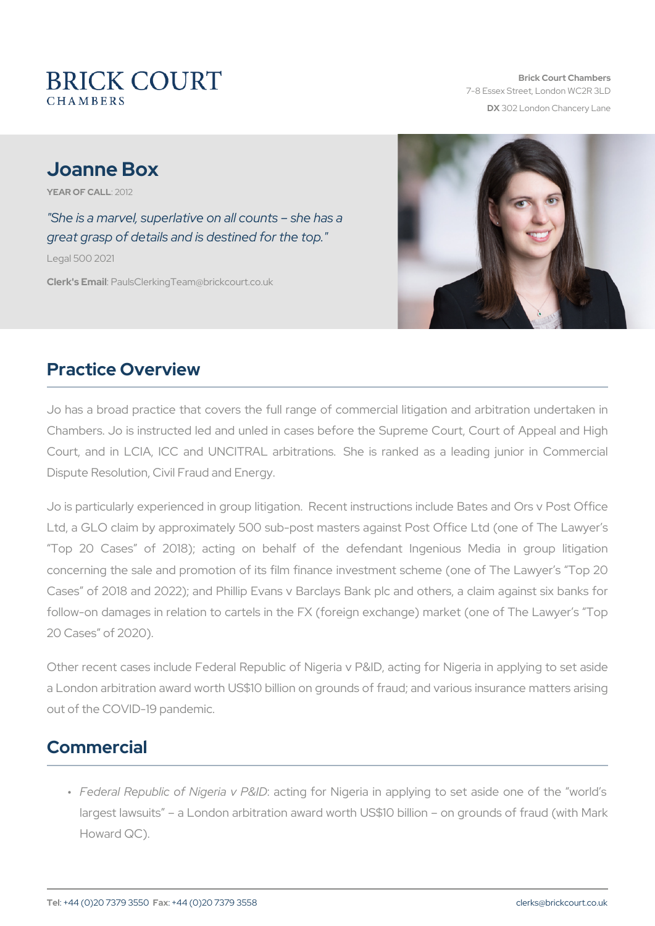# Joanne Box

YEAR OF CA2012

"She is a marvel, superlative on all counts she has a great grasp of details and is destined for the top." Legal 500 2021

Clerk's EP aulsClerking Team @brickcourt.co.uk

## Practice Overview

Jo has a broad practice that covers the full range of commercial lit Chambers. Jo is instructed led and unled in cases before the Suprem Court, and in LCIA, ICC and UNCITRAL arbitrations. She is rank Dispute Resolution, Civil Fraud and Energy.

Jo is particularly experienced in group litigation. Recent instruction Ltd, a GLO claim by approximately 500 sub-post masters against Pos Top 20 Cases of 2018); acting on behalf of the defendant concerning the sale and promotion of its film finance investment sch Cases of 2018 and 2022); and Phillip Evans v Barclays Bank plc and

follow-on damages in relation to cartels in the FX (foreign exchange 20 Cases of 2020).

Other recent cases include Federal Republic of Nigeria v P&ID, acting a London arbitration award worth US\$10 billion on grounds of fraud; and and various matters arising matters ar out of the COVID-19 pandemic.

## Commercial

" Federal Republic of Nigetiagv fo<sup>pro</sup>& INDigeria in applying to set asid largest lawsuits a London arbitration award worth US\$10 billion Howard QC).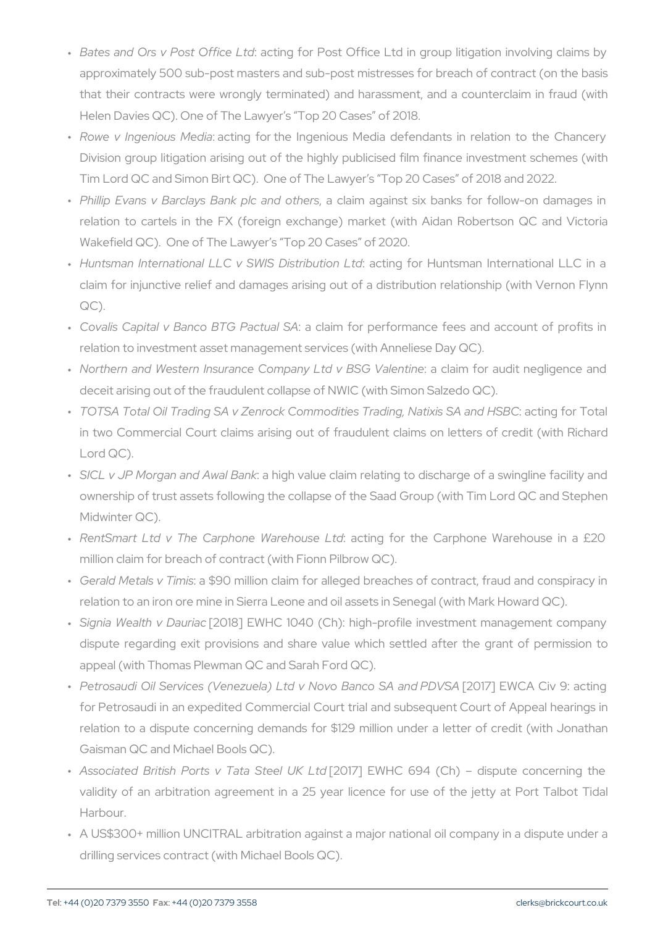- " Bates and Ors v Posta Otfifrige fount dPost Office Ltd in group litigation approximately 500 sub-post masters and sub-post mistresses for b that their contracts were wrongly terminated) and harassment, and Helen Davies QC). One of The Lawyer s Top 20 Cases of 2018.
- " Rowe v Ingeniau sctMmegdiaor the Ingenious Media defendants in r Division group litigation arising out of the highly publicised film Tim Lord QC and Simon Birt QC). One of The Lawyer s Top 20 Ca
- " Phillip Evans v Barclays B,anak cplacimanadgaoinhsterssix banks for follo relation to cartels in the FX (foreign exchange) market (with Wakefield QC). One of The Lawyer s Top 20 Cases of 2020.
- " Huntsman International LLC v S:WalStiDigstfroibulHiwomtsLmtdin Internatio claim for injunctive relief and damages arising out of a distribut QC).
- " Covalis Capital v Banco:BaT Gclaim tuital parformance fees and acc relation to investment asset management services (with Anneliese
- " Northern and Western Insurance Companya btalima BoSrGa Wobiltemteigleig deceit arising out of the fraudulent collapse of NWIC (with Simon
- " <code>TOTSA Total Oil Trading SA</code> v <code>Zenrock Commoditie</code>:s aTcrtaindign for NTacting  $\overline{\phantom{a}}$ in two Commercial Court claims arising out of fraudulent claims Lord QC).
- " SICL v JP Morgan andaAhwi**gh Bank** te claim relating to discharge of ownership of trust assets following the collapse of the Saad Grou Midwinter QC).
- " RentSmart Ltd v The CarphoneaoWibnroe, hibourseth betd Carphone Wareho million claim for breach of contract (with Fionn Pilbrow QC).
- " Gerald Metals a \$9m0ismillion claim for alleged breaches of contrad relation to an iron ore mine in Sierra Leone and oil assets in Sene
- " Signia Wealth [v20D1a8y] riEaW HC 1040 (Ch): high-profile investment m dispute regarding exit provisions and share value which settled appeal (with Thomas Plewman QC and Sarah Ford QC).
- Petrosaudi Oil Services (Venezuela) Ltd v Novo Banco SA and PDVSA [2017] EWCA Civ 9: acting " for Petrosaudi in an expedited Commercial Court trial and subseq relation to a dispute concerning demands for \$129 million under Gaisman QC and Michael Bools QC).
- " Associated British Ports v **T20d7** Bt E e MHOK 6 24d (Ch) dispute c validity of an arbitration agreement in a 25 year licence for u Harbour.
- " A US\$300+ million UNCITRAL arbitration against a major national drilling services contract (with Michael Bools QC).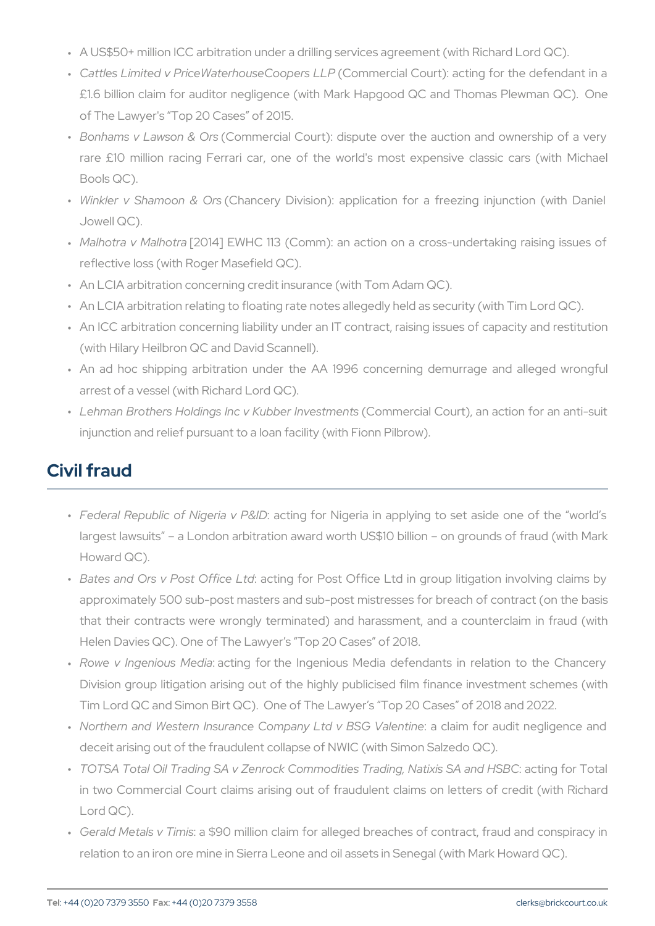- " A US\$50+ million ICC arbitration under a drilling services agreeme
- " Cattles Limited v PriceWaterh $\tt (C\Delta U)$ cosme Coloegris  $C\Delta U$ Prt): acting for the d £1.6 billion claim for auditor negligence (with Mark Hapgood QC of The Lawyer's Top 20 Cases of 2015.
- " Bonhams v Laws(cOnor&m@rsial Court): dispute over the auction an rare £10 million racing Ferrari car, one of the world's most  $\epsilon$ Bools QC).
- " Winkler v Shamo(cOnha&nc@rys Division): application for a freezing Jowell QC).
- " Malhotra v M[28| Ch1o41] pa EWHC 113 (Comm): an action on a cross-und reflective loss (with Roger Masefield QC).
- " An LCIA arbitration concerning credit insurance (with Tom Adam Q
- " An LCIA arbitration relating to floating rate notes allegedly held a
- " An ICC arbitration concerning liability under an IT contract, raising (with Hilary Heilbron QC and David Scannell).
- " An ad hoc shipping arbitration under the AA 1996 concerning arrest of a vessel (with Richard Lord QC).
- " Lehman Brothers Holdings Inc v KQuobmoterre tonicels tO moneum t)s, an action fo injunction and relief pursuant to a loan facility (with Fionn Pilbrov

# Civil fraud

- " Federal Republic of Nigetiagv fo<sup>pro</sup>& INDigeria in applying to set asid largest lawsuits a London arbitration award worth US\$10 billion Howard QC).
- " Bates and Ors v Posta Otfifrige fount dPost Office Ltd in group litigation approximately 500 sub-post masters and sub-post mistresses for b that their contracts were wrongly terminated) and harassment, and Helen Davies QC). One of The Lawyer s Top 20 Cases of 2018.
- " Rowe v Ingeniau sct Whegdiaor the Ingenious Media defendants in r Division group litigation arising out of the highly publicised film Tim Lord QC and Simon Birt QC). One of The Lawyer s Top 20 Ca
- " Northern and Western Insurance Companya btalima BoSrGa Wobiltemteigleig deceit arising out of the fraudulent collapse of NWIC (with Simon
- " <code>TOTSA Total Oil Trading SA v Zenrock Commoditie:s aTcrtaindign fggr NTacting for Tradit state sate for Tradit for Tradit state section scate scate scate scate scate scate scate scate scate scate scate scate scate scate </code> in two Commercial Court claims arising out of fraudulent claims Lord QC).
- " Gerald Metals a \$9m0 ismillion claim for alleged breaches of contrad relation to an iron ore mine in Sierra Leone and oil assets in Sene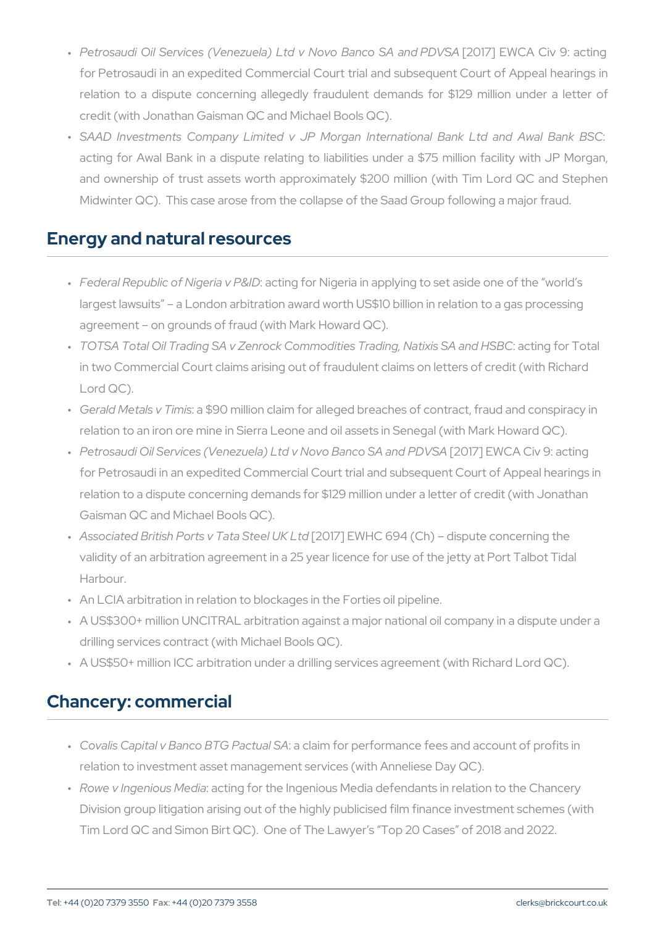- Petrosaudi Oil Services (Venezuela) Ltd v Novo Banco SA and PDVSA [2017] EWCA Civ 9: acting " for Petrosaudi in an expedited Commercial Court trial and subseq relation to a dispute concerning allegedly fraudulent demands credit (with Jonathan Gaisman QC and Michael Bools QC).
- " SAAD Investments Company Limited v JP Morgan International acting for Awal Bank in a dispute relating to liabilities under a and ownership of trust assets worth approximately \$200 million Midwinter QC). This case arose from the collapse of the Saad Group

#### Energy and natural resources

- " Federal Republic of Nigetingvf Pr& Nogeria in applying to set aside o largest lawsuits a London arbitration award worth US\$10 billion agreement on grounds of fraud (with Mark Howard QC).
- " <code>TOTSA Total Oil Trading SA</code> v <code>Zenrock Commodities</code> aTcrtain big in  $\overline{\text{Radi}}$  and  $\overline{\text{Indi}}$ in two Commercial Court claims arising out of fraudulent claims or Lord QC).
- " Gerald Metals a \$9m0 is million claim for alleged breaches of contract relation to an iron ore mine in Sierra Leone and oil assets in Sene
- " Petrosaudi Oil Services (Venezuela) Ltd v N[**2007E**] aEnWoC & AC iavn **O**:PaDcV[ for Petrosaudi in an expedited Commercial Court trial and subsequent Constant Court of Appeal and Appeal and relation to a dispute concerning demands for \$129 million under a Gaisman QC and Michael Bools QC).
- " Associated British Ports v T[2017] 78 De North UCK 61.914 (Ch) dispute concer validity of an arbitration agreement in a 25 year licence for use of Harbour.
- " An LCIA arbitration in relation to blockages in the Forties oil pipe
- " A US\$300+ million UNCITRAL arbitration against a major national drilling services contract (with Michael Bools QC).
- " A US\$50+ million ICC arbitration under a drilling services agreeme

### Chancery: commercial

- " Covalis Capital v Banco :Bat Gallamot fuoarl pSeArformance fees and accoun relation to investment asset management services (with Anneliese
- " Rowe v Ingeniou**a** cMinedyiator the Ingenious Media defendants in relat Division group litigation arising out of the highly publicised film f Tim Lord QC and Simon Birt QC). One of The Lawyer s Top 20 Ca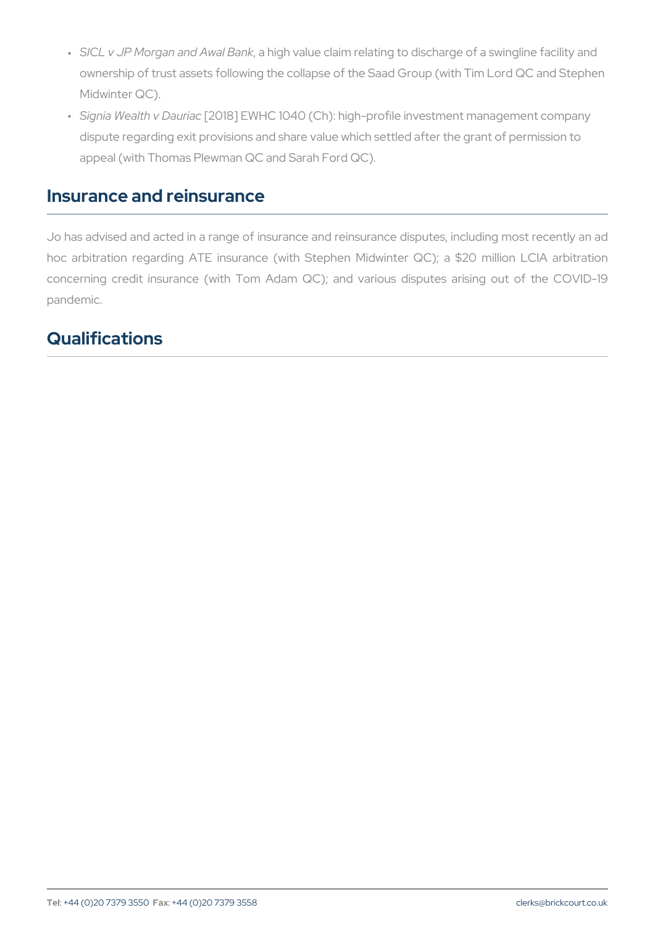- " SICL v JP Morgan andaAhwi**gh Bank e** claim relating to discharge of a ownership of trust assets following the collapse of the Saad Group Midwinter QC).
- " Signia Wealth [v2 **D a**& ]rib W H C 1040 (Ch): high-profile investment man dispute regarding exit provisions and share value which settled af appeal (with Thomas Plewman QC and Sarah Ford QC).

#### Insurance and reinsurance

Jo has advised and acted in a range of insurance and reinsurance di hoc arbitration regarding ATE insurance (with Stephen Midwinter concerning credit insurance (with Tom Adam QC); and various dis pandemic.

## Qualifications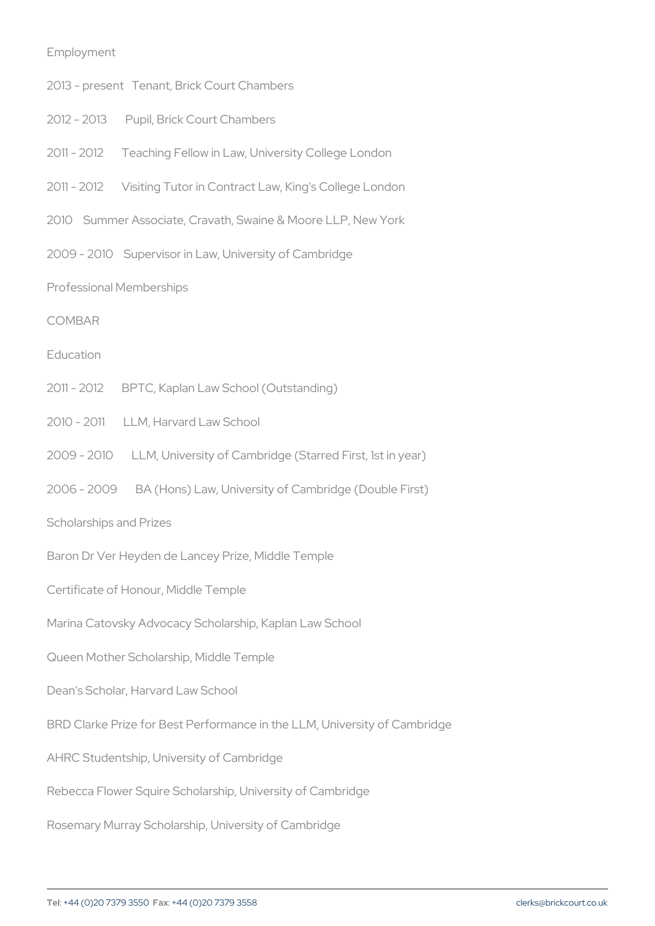| Employment                                                 |                                                                      |
|------------------------------------------------------------|----------------------------------------------------------------------|
| $2013$ - present                                           | Tenant, Brick Court Chambers                                         |
| $2012 - 2013$                                              | Pupil, Brick Court Chambers                                          |
| $2011 - 2012$                                              | Teaching Fellow in Law, University College London                    |
| $2011 - 2012$                                              | Visiting Tutor in Contract Law, King's College Londor                |
|                                                            | 2010 Summer Associate, Cravath, Swaine & Moore LLP, New York         |
|                                                            | 2009 - 2010 Supervisor in Law, University of Cambridge               |
| Professional Memberships                                   |                                                                      |
| COMBAR                                                     |                                                                      |
| Education                                                  |                                                                      |
| $2011 - 2012$                                              | BPTC, Kaplan Law School (Outstanding)                                |
| $2010 - 2011$                                              | LLM, Harvard Law School                                              |
| $2009 - 2010$                                              | LLM, University of Cambridge (Starred First, 1st in y                |
| $2006 - 2009$                                              | BA (Hons) Law, University of Cambridge (Double Firs                  |
| Scholarships and Prizes                                    |                                                                      |
|                                                            | Baron Dr Ver Heyden de Lancey Prize, Middle Temple                   |
|                                                            | Certificate of Honour, Middle Temple                                 |
|                                                            | Marina Catovsky Advocacy Scholarship, Kaplan Law School              |
|                                                            | Queen Mother Scholarship, Middle Temple                              |
|                                                            | Dean's Scholar, Harvard Law School                                   |
|                                                            | BRD Clarke Prize for Best Performance in the LLM, University of Camb |
| AHRC Studentship, University of Cambridge                  |                                                                      |
| Rebecca Flower Squire Scholarship, University of Cambridge |                                                                      |
| Rosemary Murray Scholarship, University of Cambridge       |                                                                      |